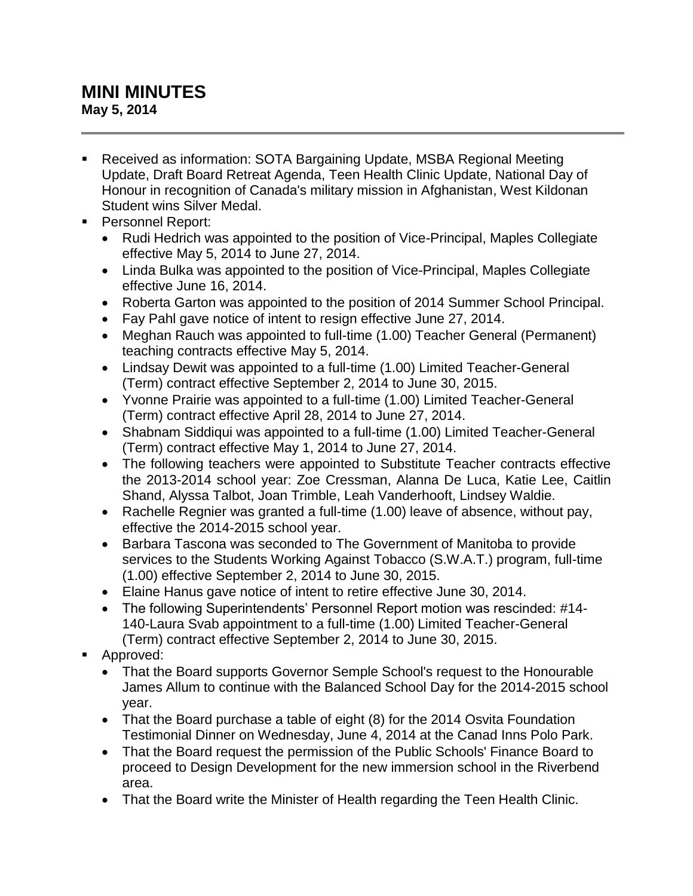## **MINI MINUTES May 5, 2014**

- Received as information: SOTA Bargaining Update, MSBA Regional Meeting Update, Draft Board Retreat Agenda, Teen Health Clinic Update, National Day of Honour in recognition of Canada's military mission in Afghanistan, West Kildonan Student wins Silver Medal.
- **Personnel Report:** 
	- Rudi Hedrich was appointed to the position of Vice-Principal, Maples Collegiate effective May 5, 2014 to June 27, 2014.
	- Linda Bulka was appointed to the position of Vice-Principal, Maples Collegiate effective June 16, 2014.
	- Roberta Garton was appointed to the position of 2014 Summer School Principal.
	- Fay Pahl gave notice of intent to resign effective June 27, 2014.
	- Meghan Rauch was appointed to full-time (1.00) Teacher General (Permanent) teaching contracts effective May 5, 2014.
	- Lindsay Dewit was appointed to a full-time (1.00) Limited Teacher-General (Term) contract effective September 2, 2014 to June 30, 2015.
	- Yvonne Prairie was appointed to a full-time (1.00) Limited Teacher-General (Term) contract effective April 28, 2014 to June 27, 2014.
	- Shabnam Siddiqui was appointed to a full-time (1.00) Limited Teacher-General (Term) contract effective May 1, 2014 to June 27, 2014.
	- The following teachers were appointed to Substitute Teacher contracts effective the 2013-2014 school year: Zoe Cressman, Alanna De Luca, Katie Lee, Caitlin Shand, Alyssa Talbot, Joan Trimble, Leah Vanderhooft, Lindsey Waldie.
	- Rachelle Regnier was granted a full-time (1.00) leave of absence, without pay, effective the 2014-2015 school year.
	- Barbara Tascona was seconded to The Government of Manitoba to provide services to the Students Working Against Tobacco (S.W.A.T.) program, full-time (1.00) effective September 2, 2014 to June 30, 2015.
	- Elaine Hanus gave notice of intent to retire effective June 30, 2014.
	- The following Superintendents' Personnel Report motion was rescinded: #14- 140-Laura Svab appointment to a full-time (1.00) Limited Teacher-General (Term) contract effective September 2, 2014 to June 30, 2015.
- Approved:
	- That the Board supports Governor Semple School's request to the Honourable James Allum to continue with the Balanced School Day for the 2014-2015 school year.
	- That the Board purchase a table of eight (8) for the 2014 Osvita Foundation Testimonial Dinner on Wednesday, June 4, 2014 at the Canad Inns Polo Park.
	- That the Board request the permission of the Public Schools' Finance Board to proceed to Design Development for the new immersion school in the Riverbend area.
	- That the Board write the Minister of Health regarding the Teen Health Clinic.